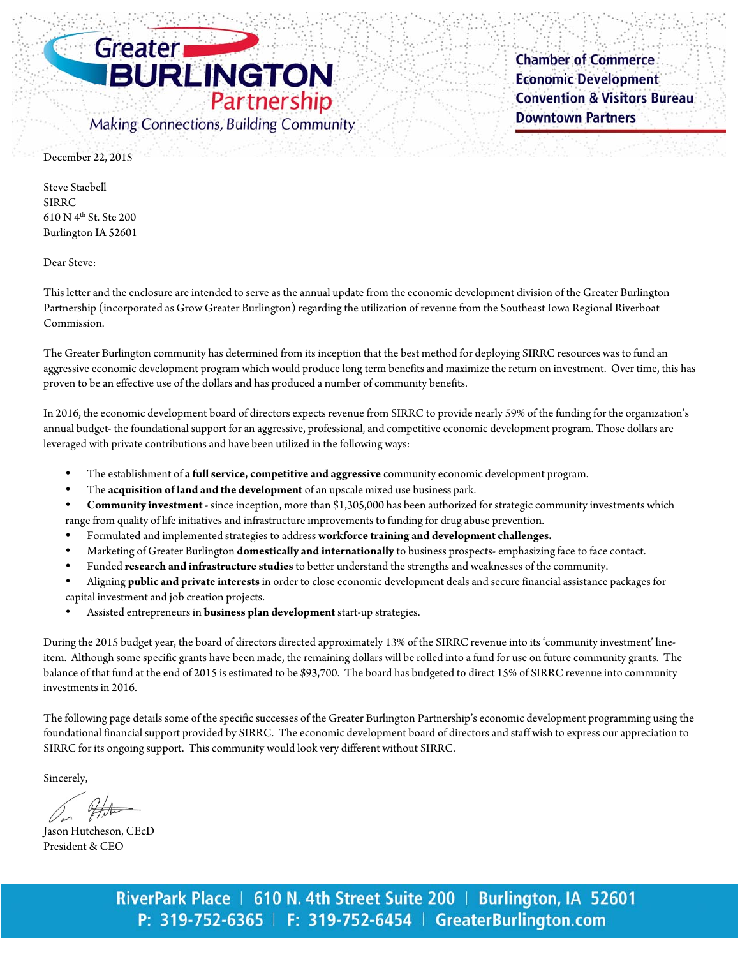

**Chamber of Commerce Economic Development Convention & Visitors Bureau Downtown Partners** 

December 22, 2015

Steve Staebell SIRRC 610 N 4th St. Ste 200 Burlington IA 52601

Dear Steve:

This letter and the enclosure are intended to serve as the annual update from the economic development division of the Greater Burlington Partnership (incorporated as Grow Greater Burlington) regarding the utilization of revenue from the Southeast Iowa Regional Riverboat Commission.

The Greater Burlington community has determined from its inception that the best method for deploying SIRRC resources was to fund an aggressive economic development program which would produce long term benefits and maximize the return on investment. Over time, this has proven to be an effective use of the dollars and has produced a number of community benefits.

In 2016, the economic development board of directors expects revenue from SIRRC to provide nearly 59% of the funding for the organization's annual budget- the foundational support for an aggressive, professional, and competitive economic development program. Those dollars are leveraged with private contributions and have been utilized in the following ways:

- The establishment of **a full service, competitive and aggressive** community economic development program.
- The **acquisition of land and the development** of an upscale mixed use business park.
- **Community investment** since inception, more than \$1,305,000 has been authorized for strategic community investments which range from quality of life initiatives and infrastructure improvements to funding for drug abuse prevention.
- Formulated and implemented strategies to address **workforce training and development challenges.**
- Marketing of Greater Burlington **domestically and internationally** to business prospects- emphasizing face to face contact.
- Funded **research and infrastructure studies** to better understand the strengths and weaknesses of the community.
- Aligning **public and private interests** in order to close economic development deals and secure financial assistance packages for capital investment and job creation projects.
- Assisted entrepreneurs in **business plan development** start-up strategies.

During the 2015 budget year, the board of directors directed approximately 13% of the SIRRC revenue into its 'community investment' lineitem. Although some specific grants have been made, the remaining dollars will be rolled into a fund for use on future community grants. The balance of that fund at the end of 2015 is estimated to be \$93,700. The board has budgeted to direct 15% of SIRRC revenue into community investments in 2016.

The following page details some of the specific successes of the Greater Burlington Partnership's economic development programming using the foundational financial support provided by SIRRC. The economic development board of directors and staff wish to express our appreciation to SIRRC for its ongoing support. This community would look very different without SIRRC.

Sincerely,

 Jason Hutcheson, CEcD President & CEO

RiverPark Place | 610 N. 4th Street Suite 200 | Burlington, IA 52601 P: 319-752-6365 | F: 319-752-6454 | GreaterBurlington.com